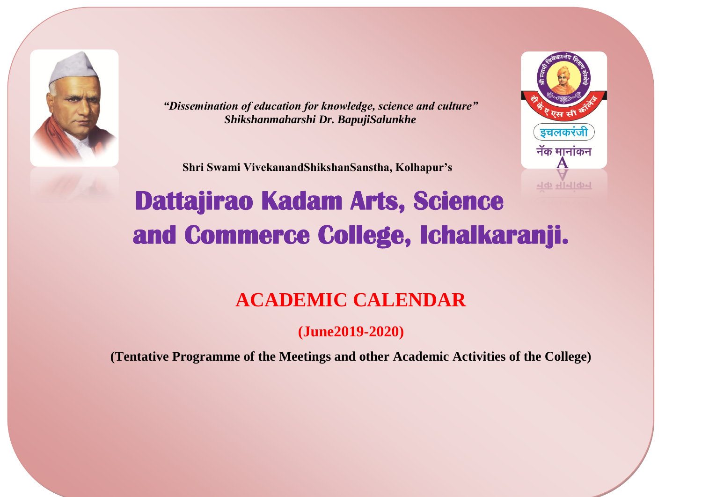

*"Dissemination of education for knowledge, science and culture" Shikshanmaharshi Dr. BapujiSalunkhe*

 **Shri Swami VivekanandShikshanSanstha, Kolhapur's**



# **Dattajirao Kadam Arts, Science and Commerce College, Ichalkaranji.**

# **ACADEMIC CALENDAR**

**(June2019-2020)**

**(Tentative Programme of the Meetings and other Academic Activities of the College)**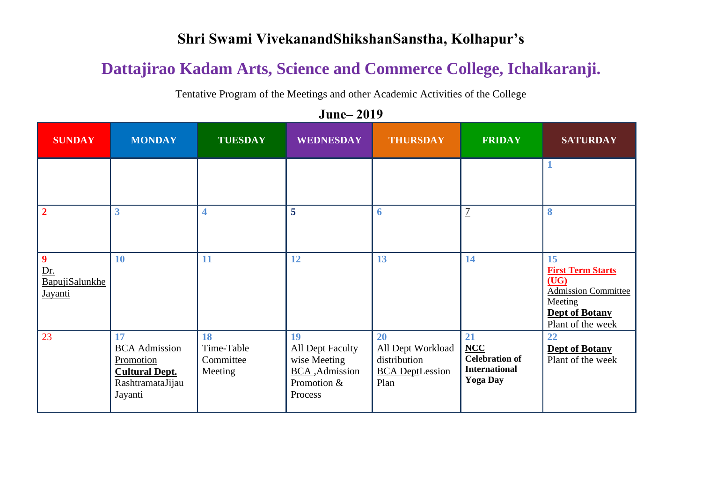#### **Shri Swami VivekanandShikshanSanstha, Kolhapur's**

# **Dattajirao Kadam Arts, Science and Commerce College, Ichalkaranji.**

Tentative Program of the Meetings and other Academic Activities of the College

**SUNDAY MONDAY TUESDAY WEDNESDAY THURSDAY FRIDAY SATURDAY 1 2 3 4 5 6** 7 **8 9** Dr. BapujiSalunkhe Jayanti **10 11 12 13 14 15 First Term Starts (UG)** Admission Committee Meeting **Dept of Botany** Plant of the week 23 **17** BCA Admission Promotion **Cultural Dept.** RashtramataJijau Jayanti **18** Time-Table **Committee** Meeting **19** All Dept Faculty wise Meeting BCA ,Admission Promotion & Process **20** All Dept Workload distribution BCA DeptLession Plan **21 NCC Celebration of International Yoga Day 22 Dept of Botany** Plant of the week

**June‒ 2019**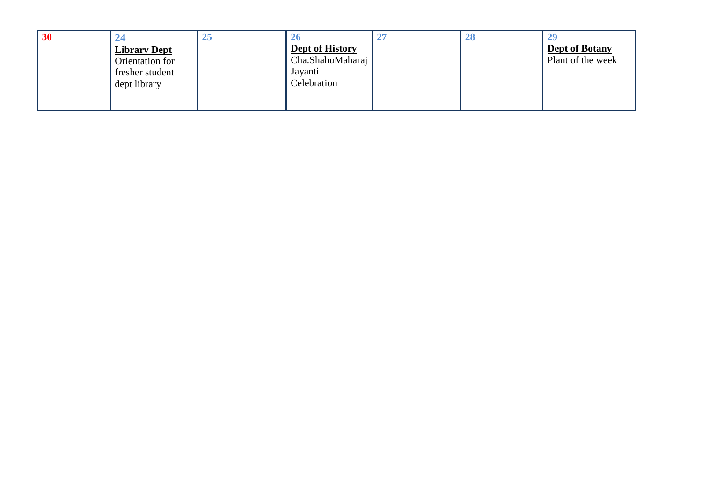| 30 |                     | 45 |                        | 28 |                       |
|----|---------------------|----|------------------------|----|-----------------------|
|    | <b>Library Dept</b> |    | <b>Dept of History</b> |    | <b>Dept of Botany</b> |
|    | Orientation for     |    | Cha.ShahuMaharaj       |    | Plant of the week     |
|    | fresher student     |    | Jayanti                |    |                       |
|    | dept library        |    | Celebration            |    |                       |
|    |                     |    |                        |    |                       |
|    |                     |    |                        |    |                       |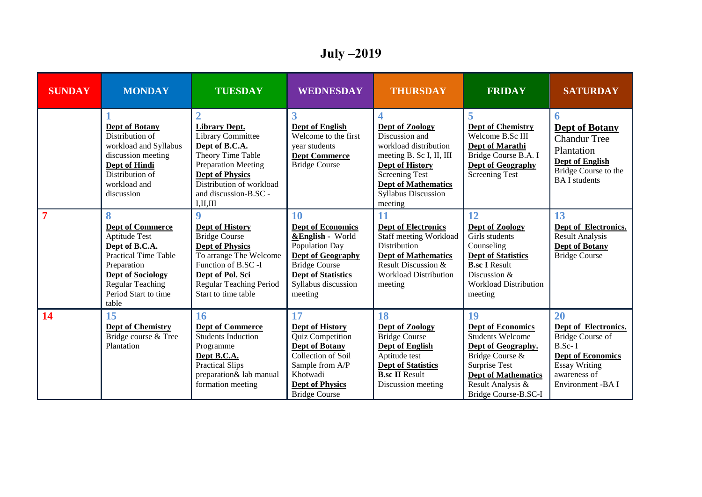# **July ‒2019**

| <b>SUNDAY</b>  | <b>MONDAY</b>                                                                                                                                                                                  | <b>TUESDAY</b>                                                                                                                                                                                                     | <b>WEDNESDAY</b>                                                                                                                                                                        | <b>THURSDAY</b>                                                                                                                                                                                                  | <b>FRIDAY</b>                                                                                                                                                                                  | <b>SATURDAY</b>                                                                                                                                            |
|----------------|------------------------------------------------------------------------------------------------------------------------------------------------------------------------------------------------|--------------------------------------------------------------------------------------------------------------------------------------------------------------------------------------------------------------------|-----------------------------------------------------------------------------------------------------------------------------------------------------------------------------------------|------------------------------------------------------------------------------------------------------------------------------------------------------------------------------------------------------------------|------------------------------------------------------------------------------------------------------------------------------------------------------------------------------------------------|------------------------------------------------------------------------------------------------------------------------------------------------------------|
|                | <b>Dept of Botany</b><br>Distribution of<br>workload and Syllabus<br>discussion meeting<br><b>Dept of Hindi</b><br>Distribution of<br>workload and<br>discussion                               | <b>Library Dept.</b><br><b>Library Committee</b><br>Dept of B.C.A.<br>Theory Time Table<br><b>Preparation Meeting</b><br><b>Dept of Physics</b><br>Distribution of workload<br>and discussion-B.SC -<br>I, II, III | 3<br><b>Dept of English</b><br>Welcome to the first<br>vear students<br><b>Dept Commerce</b><br><b>Bridge Course</b>                                                                    | Dept of Zoology<br>Discussion and<br>workload distribution<br>meeting B. Sc I, II, III<br><b>Dept of History</b><br><b>Screening Test</b><br><b>Dept of Mathematics</b><br><b>Syllabus Discussion</b><br>meeting | 5<br><b>Dept of Chemistry</b><br>Welcome B.Sc III<br>Dept of Marathi<br>Bridge Course B.A. I<br><b>Dept of Geography</b><br><b>Screening Test</b>                                              | 6<br><b>Dept of Botany</b><br><b>Chandur Tree</b><br>Plantation<br><b>Dept of English</b><br>Bridge Course to the<br><b>BAI</b> students                   |
| $\overline{7}$ | 8<br><b>Dept of Commerce</b><br>Aptitude Test<br>Dept of B.C.A.<br><b>Practical Time Table</b><br>Preparation<br><b>Dept of Sociology</b><br>Regular Teaching<br>Period Start to time<br>table | $\boldsymbol{9}$<br><b>Dept of History</b><br><b>Bridge Course</b><br>Dept of Physics<br>To arrange The Welcome<br>Function of B.SC -I<br>Dept of Pol. Sci<br>Regular Teaching Period<br>Start to time table       | 10<br><b>Dept of Economics</b><br>&English - World<br>Population Day<br><b>Dept of Geography</b><br><b>Bridge Course</b><br><b>Dept of Statistics</b><br>Syllabus discussion<br>meeting | 11<br><b>Dept of Electronics</b><br>Staff meeting Workload<br>Distribution<br><b>Dept of Mathematics</b><br><b>Result Discussion &amp;</b><br><b>Workload Distribution</b><br>meeting                            | 12<br>Dept of Zoology<br>Girls students<br>Counseling<br><b>Dept of Statistics</b><br><b>B.sc I Result</b><br>Discussion &<br><b>Workload Distribution</b><br>meeting                          | 13<br>Dept of Electronics.<br><b>Result Analysis</b><br><b>Dept of Botany</b><br><b>Bridge Course</b>                                                      |
| 14             | 15<br><b>Dept of Chemistry</b><br>Bridge course & Tree<br>Plantation                                                                                                                           | 16<br><b>Dept of Commerce</b><br><b>Students Induction</b><br>Programme<br>Dept B.C.A.<br>Practical Slips<br>preparation& lab manual<br>formation meeting                                                          | 17<br><b>Dept of History</b><br>Quiz Competition<br><b>Dept of Botany</b><br>Collection of Soil<br>Sample from A/P<br>Khotwadi<br><b>Dept of Physics</b><br><b>Bridge Course</b>        | 18<br><b>Dept of Zoology</b><br><b>Bridge Course</b><br><b>Dept of English</b><br>Aptitude test<br><b>Dept of Statistics</b><br><b>B.sc II Result</b><br>Discussion meeting                                      | 19<br><b>Dept of Economics</b><br><b>Students Welcome</b><br>Dept of Geography.<br>Bridge Course &<br>Surprise Test<br><b>Dept of Mathematics</b><br>Result Analysis &<br>Bridge Course-B.SC-I | 20<br>Dept of Electronics.<br><b>Bridge Course of</b><br>$B.Sc-I$<br><b>Dept of Economics</b><br><b>Essay Writing</b><br>awareness of<br>Environment -BA I |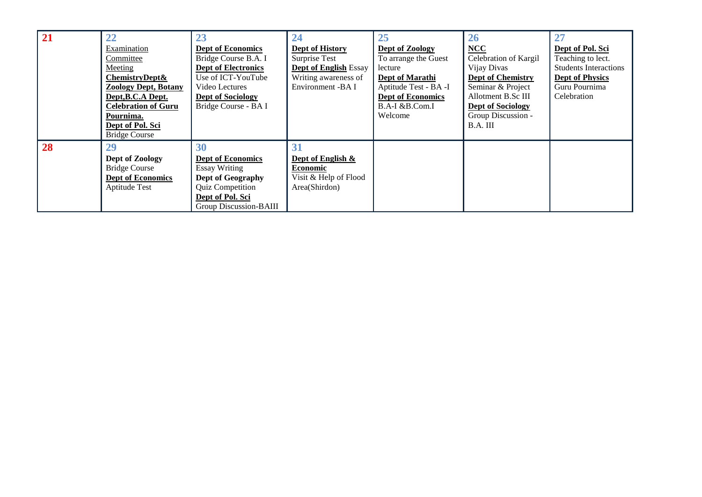| 21 | 22                          | 23                         | 24                           | 25                       | <b>26</b>                |                              |
|----|-----------------------------|----------------------------|------------------------------|--------------------------|--------------------------|------------------------------|
|    | Examination                 | <b>Dept of Economics</b>   | <b>Dept of History</b>       | Dept of Zoology          | $NCC$                    | Dept of Pol. Sci             |
|    | Committee                   | Bridge Course B.A. I       | Surprise Test                | To arrange the Guest     | Celebration of Kargil    | Teaching to lect.            |
|    | Meeting                     | <b>Dept of Electronics</b> | <b>Dept of English Essay</b> | lecture                  | Vijay Divas              | <b>Students Interactions</b> |
|    | ChemistryDept&              | Use of ICT-YouTube         | Writing awareness of         | Dept of Marathi          | <b>Dept of Chemistry</b> | <b>Dept of Physics</b>       |
|    | <b>Zoology Dept, Botany</b> | Video Lectures             | Environment -BA I            | Aptitude Test - BA -I    | Seminar & Project        | Guru Pournima                |
|    | Dept, B.C.A Dept.           | <b>Dept of Sociology</b>   |                              | <b>Dept of Economics</b> | Allotment B.Sc III       | Celebration                  |
|    | <b>Celebration of Guru</b>  | Bridge Course - BA I       |                              | B.A-I &B.Com.I           | <b>Dept of Sociology</b> |                              |
|    | Pournima.                   |                            |                              | Welcome                  | Group Discussion -       |                              |
|    | Dept of Pol. Sci            |                            |                              |                          | B.A. III                 |                              |
|    | <b>Bridge Course</b>        |                            |                              |                          |                          |                              |
| 28 | 29                          | 30                         | 31                           |                          |                          |                              |
|    | Dept of Zoology             | <b>Dept of Economics</b>   | Dept of English &            |                          |                          |                              |
|    | <b>Bridge Course</b>        | <b>Essay Writing</b>       | <b>Economic</b>              |                          |                          |                              |
|    | <b>Dept of Economics</b>    | <b>Dept of Geography</b>   | Visit & Help of Flood        |                          |                          |                              |
|    | Aptitude Test               | <b>Quiz Competition</b>    | Area(Shirdon)                |                          |                          |                              |
|    |                             | Dept of Pol. Sci           |                              |                          |                          |                              |
|    |                             | Group Discussion-BAIII     |                              |                          |                          |                              |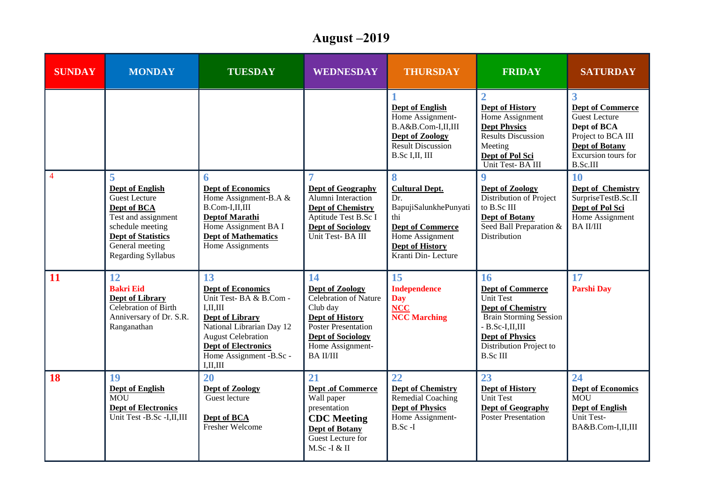# **August ‒2019**

| <b>SUNDAY</b>  | <b>MONDAY</b>                                                                                                                                                                              | <b>TUESDAY</b>                                                                                                                                                                                                                      | <b>WEDNESDAY</b>                                                                                                                                                               | <b>THURSDAY</b>                                                                                                                                                 | <b>FRIDAY</b>                                                                                                                                                                                                | <b>SATURDAY</b>                                                                                                                                              |
|----------------|--------------------------------------------------------------------------------------------------------------------------------------------------------------------------------------------|-------------------------------------------------------------------------------------------------------------------------------------------------------------------------------------------------------------------------------------|--------------------------------------------------------------------------------------------------------------------------------------------------------------------------------|-----------------------------------------------------------------------------------------------------------------------------------------------------------------|--------------------------------------------------------------------------------------------------------------------------------------------------------------------------------------------------------------|--------------------------------------------------------------------------------------------------------------------------------------------------------------|
|                |                                                                                                                                                                                            |                                                                                                                                                                                                                                     |                                                                                                                                                                                | <b>Dept of English</b><br>Home Assignment-<br>B.A&B.Com-I,II,III<br>Dept of Zoology<br>Result Discussion<br>B.Sc I, II, III                                     | $\overline{2}$<br>Dept of History<br>Home Assignment<br><b>Dept Physics</b><br>Results Discussion<br>Meeting<br>Dept of Pol Sci<br>Unit Test-BA III                                                          | 3<br><b>Dept of Commerce</b><br><b>Guest Lecture</b><br>Dept of BCA<br>Project to BCA III<br><b>Dept of Botany</b><br>Excursion tours for<br><b>B.Sc.III</b> |
| $\overline{4}$ | 5<br><b>Dept of English</b><br><b>Guest Lecture</b><br>Dept of BCA<br>Test and assignment<br>schedule meeting<br><b>Dept of Statistics</b><br>General meeting<br><b>Regarding Syllabus</b> | 6<br><b>Dept of Economics</b><br>Home Assignment-B.A &<br>B.Com-I,II,III<br><b>Deptof Marathi</b><br>Home Assignment BA I<br><b>Dept of Mathematics</b><br>Home Assignments                                                         | $\overline{7}$<br><b>Dept of Geography</b><br>Alumni Interaction<br><b>Dept of Chemistry</b><br>Aptitude Test B.Sc I<br><b>Dept of Sociology</b><br>Unit Test-BA III           | 8<br><b>Cultural Dept.</b><br>Dr.<br>BapujiSalunkhePunyati<br>thi<br><b>Dept of Commerce</b><br>Home Assignment<br><b>Dept of History</b><br>Kranti Din-Lecture | 9<br>Dept of Zoology<br>Distribution of Project<br>to B.Sc III<br><b>Dept of Botany</b><br>Seed Ball Preparation &<br>Distribution                                                                           | 10<br><b>Dept of Chemistry</b><br>SurpriseTestB.Sc.II<br>Dept of Pol Sci<br>Home Assignment<br><b>BAII/III</b>                                               |
| 11             | 12<br><b>Bakri Eid</b><br><b>Dept of Library</b><br>Celebration of Birth<br>Anniversary of Dr. S.R.<br>Ranganathan                                                                         | 13<br><b>Dept of Economics</b><br>Unit Test-BA $&$ B.Com -<br>I, II, III<br><b>Dept of Library</b><br>National Librarian Day 12<br><b>August Celebration</b><br><b>Dept of Electronics</b><br>Home Assignment -B.Sc -<br>I, II, III | 14<br>Dept of Zoology<br>Celebration of Nature<br>Club day<br><b>Dept of History</b><br>Poster Presentation<br><b>Dept of Sociology</b><br>Home Assignment-<br><b>BAII/III</b> | 15<br><b>Independence</b><br><b>Day</b><br><b>NCC</b><br><b>NCC</b> Marching                                                                                    | 16<br><b>Dept of Commerce</b><br><b>Unit Test</b><br><b>Dept of Chemistry</b><br><b>Brain Storming Session</b><br>$-B.Sc-I, II, III$<br><b>Dept of Physics</b><br>Distribution Project to<br><b>B.Sc III</b> | 17<br><b>Parshi Day</b>                                                                                                                                      |
| 18             | 19<br><b>Dept of English</b><br><b>MOU</b><br><b>Dept of Electronics</b><br>Unit Test -B.Sc -I,II,III                                                                                      | 20<br>Dept of Zoology<br>Guest lecture<br>Dept of BCA<br>Fresher Welcome                                                                                                                                                            | 21<br><b>Dept.of Commerce</b><br>Wall paper<br>presentation<br><b>CDC</b> Meeting<br><b>Dept of Botany</b><br>Guest Lecture for<br>$M.Sc-I & H$                                | 22<br><b>Dept of Chemistry</b><br>Remedial Coaching<br><b>Dept of Physics</b><br>Home Assignment-<br>$B.Sc-I$                                                   | 23<br>Dept of History<br>Unit Test<br><b>Dept of Geography</b><br><b>Poster Presentation</b>                                                                                                                 | 24<br><b>Dept of Economics</b><br><b>MOU</b><br><b>Dept of English</b><br>Unit Test-<br>BA&B.Com-I,II,III                                                    |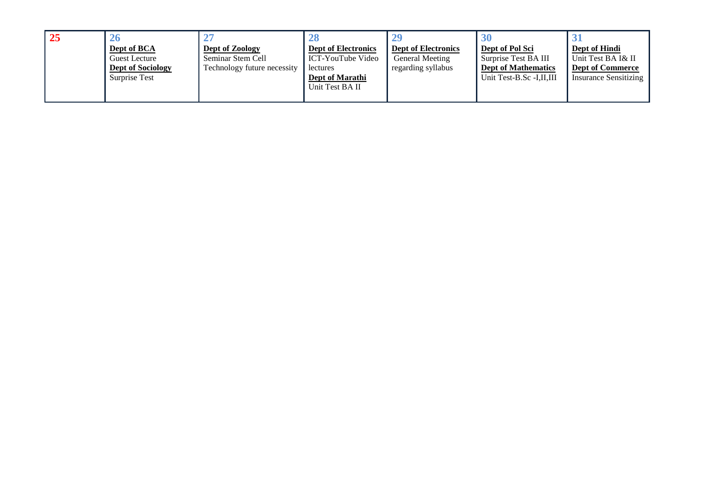| <b>25</b> | <b>26</b>                |                             |                            |                            |                            |                              |
|-----------|--------------------------|-----------------------------|----------------------------|----------------------------|----------------------------|------------------------------|
|           | Dept of BCA              | Dept of Zoology             | <b>Dept of Electronics</b> | <b>Dept of Electronics</b> | Dept of Pol Sci            | Dept of Hindi                |
|           | Guest Lecture            | Seminar Stem Cell           | ICT-YouTube Video          | General Meeting            | Surprise Test BA III       | Unit Test BA I& II           |
|           | <b>Dept of Sociology</b> | Technology future necessity | lectures                   | regarding syllabus         | <b>Dept of Mathematics</b> | <b>Dept of Commerce</b>      |
|           | Surprise Test            |                             | Dept of Marathi            |                            | Unit Test-B.Sc -I,II,III   | <b>Insurance Sensitizing</b> |
|           |                          |                             | Unit Test BA II            |                            |                            |                              |
|           |                          |                             |                            |                            |                            |                              |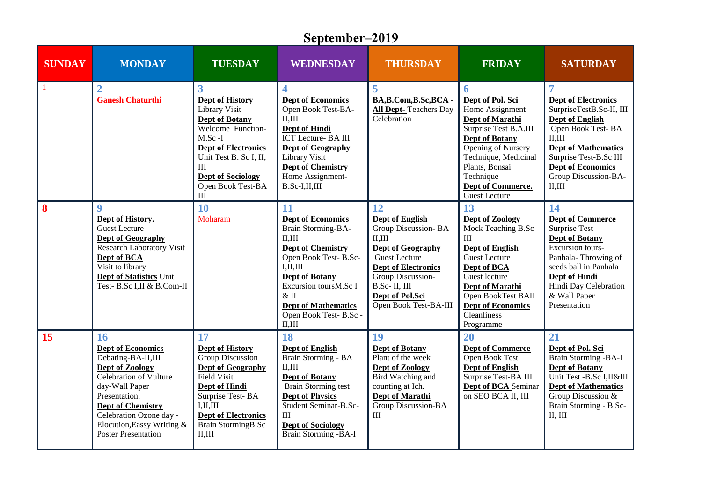|               | September-2019                                                                                                                                                                                                                                          |                                                                                                                                                                                                                             |                                                                                                                                                                                                                                                               |                                                                                                                                                                                                              |                                                                                                                                                                                                                                         |                                                                                                                                                                                                                                        |  |  |
|---------------|---------------------------------------------------------------------------------------------------------------------------------------------------------------------------------------------------------------------------------------------------------|-----------------------------------------------------------------------------------------------------------------------------------------------------------------------------------------------------------------------------|---------------------------------------------------------------------------------------------------------------------------------------------------------------------------------------------------------------------------------------------------------------|--------------------------------------------------------------------------------------------------------------------------------------------------------------------------------------------------------------|-----------------------------------------------------------------------------------------------------------------------------------------------------------------------------------------------------------------------------------------|----------------------------------------------------------------------------------------------------------------------------------------------------------------------------------------------------------------------------------------|--|--|
| <b>SUNDAY</b> | <b>MONDAY</b>                                                                                                                                                                                                                                           | <b>TUESDAY</b>                                                                                                                                                                                                              | <b>WEDNESDAY</b>                                                                                                                                                                                                                                              | <b>THURSDAY</b>                                                                                                                                                                                              | <b>FRIDAY</b>                                                                                                                                                                                                                           | <b>SATURDAY</b>                                                                                                                                                                                                                        |  |  |
| $\mathbf{1}$  | <b>Ganesh Chaturthi</b>                                                                                                                                                                                                                                 | 3<br><b>Dept of History</b><br>Library Visit<br><b>Dept of Botany</b><br>Welcome Function-<br>$M.Sc-I$<br><b>Dept of Electronics</b><br>Unit Test B. Sc I, II,<br>III<br><b>Dept of Sociology</b><br>Open Book Test-BA<br>Ш | 4<br><b>Dept of Economics</b><br>Open Book Test-BA-<br>II, III<br>Dept of Hindi<br><b>ICT</b> Lecture-BA III<br><b>Dept of Geography</b><br>Library Visit<br><b>Dept of Chemistry</b><br>Home Assignment-<br>$B.Sc-I, II, III$                                | 5<br>BA,B.Com,B.Sc,BCA -<br><b>All Dept-Teachers Day</b><br>Celebration                                                                                                                                      | 6<br>Dept of Pol. Sci<br>Home Assignment<br>Dept of Marathi<br>Surprise Test B.A.III<br><b>Dept of Botany</b><br>Opening of Nursery<br>Technique, Medicinal<br>Plants, Bonsai<br>Technique<br><b>Dept of Commerce.</b><br>Guest Lecture | <b>Dept of Electronics</b><br>SurpriseTestB.Sc-II, III<br><b>Dept of English</b><br>Open Book Test-BA<br>II.III<br><b>Dept of Mathematics</b><br>Surprise Test-B.Sc III<br><b>Dept of Economics</b><br>Group Discussion-BA-<br>II, III |  |  |
| 8             | $\boldsymbol{9}$<br>Dept of History.<br><b>Guest Lecture</b><br><b>Dept of Geography</b><br><b>Research Laboratory Visit</b><br>Dept of BCA<br>Visit to library<br><b>Dept of Statistics Unit</b><br>Test- B.Sc I,II & B.Com-II                         | 10<br>Moharam                                                                                                                                                                                                               | 11<br><b>Dept of Economics</b><br>Brain Storming-BA-<br>II.III<br><b>Dept of Chemistry</b><br>Open Book Test-B.Sc-<br>I, II, III<br><b>Dept of Botany</b><br>Excursion toursM.Sc I<br>& II<br><b>Dept of Mathematics</b><br>Open Book Test- B.Sc -<br>II, III | 12<br>Dept of English<br>Group Discussion-BA<br>II, III<br>Dept of Geography<br><b>Guest Lecture</b><br>Dept of Electronics<br>Group Discussion-<br>B.Sc-II, III<br>Dept of Pol.Sci<br>Open Book Test-BA-III | 13<br>Dept of Zoology<br>Mock Teaching B.Sc<br>III<br><b>Dept of English</b><br>Guest Lecture<br>Dept of BCA<br>Guest lecture<br>Dept of Marathi<br>Open BookTest BAII<br><b>Dept of Economics</b><br><b>Cleanliness</b><br>Programme   | 14<br><b>Dept of Commerce</b><br>Surprise Test<br><b>Dept of Botany</b><br>Excursion tours-<br>Panhala-Throwing of<br>seeds ball in Panhala<br>Dept of Hindi<br>Hindi Day Celebration<br>& Wall Paper<br>Presentation                  |  |  |
| 15            | 16<br><b>Dept of Economics</b><br>Debating-BA-II,III<br>Dept of Zoology<br>Celebration of Vulture<br>day-Wall Paper<br>Presentation.<br><b>Dept of Chemistry</b><br>Celebration Ozone day -<br>Elocution, Eassy Writing &<br><b>Poster Presentation</b> | 17<br>Dept of History<br><b>Group Discussion</b><br>Dept of Geography<br>Field Visit<br>Dept of Hindi<br>Surprise Test-BA<br>I, II, III<br><b>Dept of Electronics</b><br>Brain StormingB.Sc<br>II, III                      | 18<br><b>Dept of English</b><br>Brain Storming - BA<br>II.III<br><b>Dept of Botany</b><br>Brain Storming test<br><b>Dept of Physics</b><br>Student Seminar-B.Sc-<br><b>III</b><br><b>Dept of Sociology</b><br>Brain Storming -BA-I                            | 19<br><b>Dept of Botany</b><br>Plant of the week<br>Dept of Zoology<br>Bird Watching and<br>counting at Ich.<br>Dept of Marathi<br>Group Discussion-BA<br>III                                                | 20<br><b>Dept of Commerce</b><br>Open Book Test<br><b>Dept of English</b><br>Surprise Test-BA III<br><b>Dept of BCA</b> Seminar<br>on SEO BCA II, III                                                                                   | 21<br>Dept of Pol. Sci<br>Brain Storming -BA-I<br><b>Dept of Botany</b><br>Unit Test -B.Sc I,II&III<br><b>Dept of Mathematics</b><br>Group Discussion &<br>Brain Storming - B.Sc-<br>II, III                                           |  |  |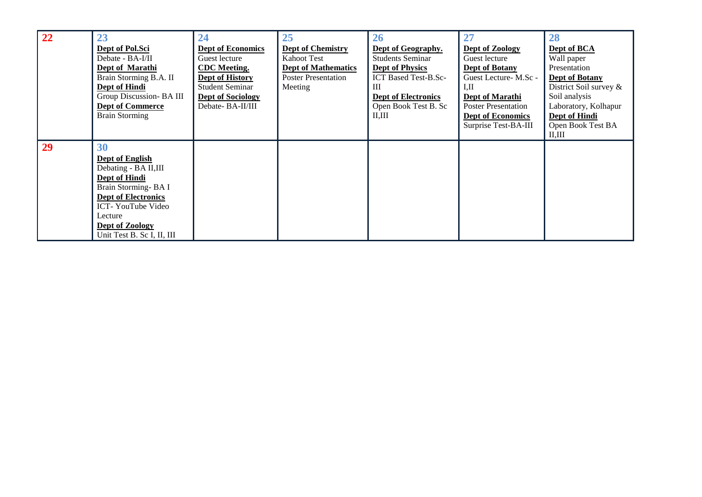| 22        | 23                         | 24                       | 25                         | 26                          | 27                         | 28                     |
|-----------|----------------------------|--------------------------|----------------------------|-----------------------------|----------------------------|------------------------|
|           | Dept of Pol.Sci            | <b>Dept of Economics</b> | <b>Dept of Chemistry</b>   | Dept of Geography.          | Dept of Zoology            | Dept of BCA            |
|           | Debate - BA-I/II           | Guest lecture            | <b>Kahoot Test</b>         | <b>Students Seminar</b>     | Guest lecture              | Wall paper             |
|           | Dept of Marathi            | <b>CDC</b> Meeting.      | <b>Dept of Mathematics</b> | <b>Dept of Physics</b>      | <b>Dept of Botany</b>      | Presentation           |
|           | Brain Storming B.A. II     | Dept of History          | <b>Poster Presentation</b> | <b>ICT Based Test-B.Sc-</b> | Guest Lecture-M.Sc -       | <b>Dept of Botany</b>  |
|           | Dept of Hindi              | <b>Student Seminar</b>   | Meeting                    | Ш                           | I.II                       | District Soil survey & |
|           | Group Discussion- BA III   | <b>Dept of Sociology</b> |                            | <b>Dept of Electronics</b>  | Dept of Marathi            | Soil analysis          |
|           | <b>Dept of Commerce</b>    | Debate-BA-II/III         |                            | Open Book Test B. Sc        | <b>Poster Presentation</b> | Laboratory, Kolhapur   |
|           | <b>Brain Storming</b>      |                          |                            | II, III                     | <b>Dept of Economics</b>   | Dept of Hindi          |
|           |                            |                          |                            |                             | Surprise Test-BA-III       | Open Book Test BA      |
|           |                            |                          |                            |                             |                            | II.III                 |
| <b>29</b> | 30                         |                          |                            |                             |                            |                        |
|           | Dept of English            |                          |                            |                             |                            |                        |
|           | Debating - BA II,III       |                          |                            |                             |                            |                        |
|           | <b>Dept of Hindi</b>       |                          |                            |                             |                            |                        |
|           | Brain Storming-BAI         |                          |                            |                             |                            |                        |
|           | <b>Dept of Electronics</b> |                          |                            |                             |                            |                        |
|           | ICT-YouTube Video          |                          |                            |                             |                            |                        |
|           | Lecture                    |                          |                            |                             |                            |                        |
|           | Dept of Zoology            |                          |                            |                             |                            |                        |
|           | Unit Test B. Sc I, II, III |                          |                            |                             |                            |                        |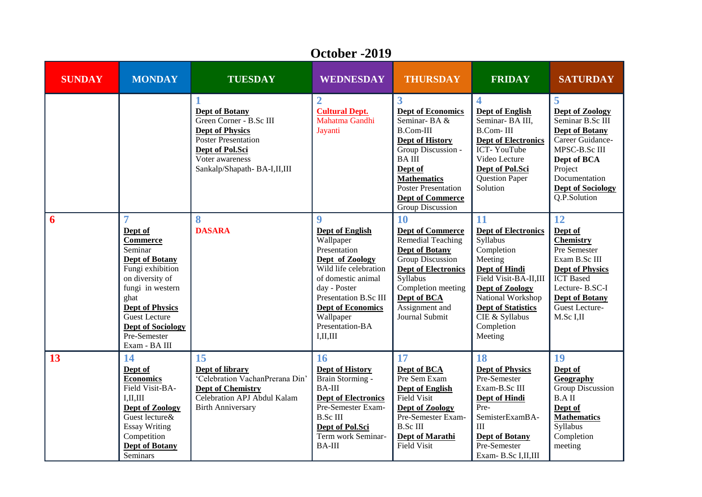| <b>SUNDAY</b>           | <b>MONDAY</b>                                                                                                                                                                                                                                    | <b>TUESDAY</b>                                                                                                                                                         | <b>WEDNESDAY</b>                                                                                                                                                                                                                                             | <b>THURSDAY</b>                                                                                                                                                                                                                                           | <b>FRIDAY</b>                                                                                                                                                                                                                   | <b>SATURDAY</b>                                                                                                                                                                               |
|-------------------------|--------------------------------------------------------------------------------------------------------------------------------------------------------------------------------------------------------------------------------------------------|------------------------------------------------------------------------------------------------------------------------------------------------------------------------|--------------------------------------------------------------------------------------------------------------------------------------------------------------------------------------------------------------------------------------------------------------|-----------------------------------------------------------------------------------------------------------------------------------------------------------------------------------------------------------------------------------------------------------|---------------------------------------------------------------------------------------------------------------------------------------------------------------------------------------------------------------------------------|-----------------------------------------------------------------------------------------------------------------------------------------------------------------------------------------------|
|                         |                                                                                                                                                                                                                                                  | <b>Dept of Botany</b><br>Green Corner - B.Sc III<br><b>Dept of Physics</b><br>Poster Presentation<br>Dept of Pol.Sci<br>Voter awareness<br>Sankalp/Shapath-BA-I,II,III | $\overline{2}$<br><b>Cultural Dept.</b><br>Mahatma Gandhi<br>Jayanti                                                                                                                                                                                         | 3<br><b>Dept of Economics</b><br>Seminar-BA $\&$<br><b>B.Com-III</b><br><b>Dept of History</b><br>Group Discussion -<br><b>BAIII</b><br>Dept of<br><b>Mathematics</b><br><b>Poster Presentation</b><br><b>Dept of Commerce</b><br><b>Group Discussion</b> | $\overline{\mathbf{4}}$<br><b>Dept of English</b><br>Seminar-BA III,<br><b>B.Com-III</b><br><b>Dept of Electronics</b><br>ICT-YouTube<br>Video Lecture<br>Dept of Pol.Sci<br><b>Question Paper</b><br>Solution                  | 5<br>Dept of Zoology<br>Seminar B.Sc III<br><b>Dept of Botany</b><br>Career Guidance-<br>MPSC-B.Sc III<br>Dept of BCA<br>Project<br>Documentation<br><b>Dept of Sociology</b><br>Q.P.Solution |
| $\overline{\mathbf{6}}$ | Dept of<br><b>Commerce</b><br>Seminar<br><b>Dept of Botany</b><br>Fungi exhibition<br>on diversity of<br>fungi in western<br>ghat<br><b>Dept of Physics</b><br><b>Guest Lecture</b><br><b>Dept of Sociology</b><br>Pre-Semester<br>Exam - BA III | 8<br><b>DASARA</b>                                                                                                                                                     | $\boldsymbol{9}$<br><b>Dept of English</b><br>Wallpaper<br>Presentation<br>Dept of Zoology<br>Wild life celebration<br>of domestic animal<br>day - Poster<br>Presentation B.Sc III<br><b>Dept of Economics</b><br>Wallpaper<br>Presentation-BA<br>I, II, III | 10<br><b>Dept of Commerce</b><br>Remedial Teaching<br><b>Dept of Botany</b><br>Group Discussion<br><b>Dept of Electronics</b><br>Syllabus<br>Completion meeting<br>Dept of BCA<br>Assignment and<br>Journal Submit                                        | 11<br><b>Dept of Electronics</b><br>Syllabus<br>Completion<br>Meeting<br>Dept of Hindi<br>Field Visit-BA-II,III<br>Dept of Zoology<br>National Workshop<br><b>Dept of Statistics</b><br>CIE & Syllabus<br>Completion<br>Meeting | 12<br>Dept of<br><b>Chemistry</b><br>Pre Semester<br>Exam B.Sc III<br><b>Dept of Physics</b><br><b>ICT</b> Based<br>Lecture-B.SC-I<br>Dept of Botany<br>Guest Lecture-<br>M.Sc I,II           |
| 13                      | 14<br>Dept of<br><b>Economics</b><br>Field Visit-BA-<br>I, II, III<br>Dept of Zoology<br>Guest lecture&<br><b>Essay Writing</b><br>Competition<br><b>Dept of Botany</b><br>Seminars                                                              | 15<br>Dept of library<br>'Celebration VachanPrerana Din'<br><b>Dept of Chemistry</b><br>Celebration APJ Abdul Kalam<br><b>Birth Anniversary</b>                        | 16<br><b>Dept of History</b><br>Brain Storming -<br><b>BA-III</b><br><b>Dept of Electronics</b><br>Pre-Semester Exam-<br><b>B.Sc III</b><br>Dept of Pol.Sci<br>Term work Seminar-<br><b>BA-III</b>                                                           | 17<br>Dept of BCA<br>Pre Sem Exam<br>Dept of English<br><b>Field Visit</b><br>Dept of Zoology<br>Pre-Semester Exam-<br><b>B.Sc III</b><br>Dept of Marathi<br><b>Field Visit</b>                                                                           | 18<br><b>Dept of Physics</b><br>Pre-Semester<br>Exam-B.Sc III<br>Dept of Hindi<br>Pre-<br>SemisterExamBA-<br>III<br><b>Dept of Botany</b><br>Pre-Semester<br>Exam-B.Sc I,II,III                                                 | 19<br>Dept of<br>Geography<br>Group Discussion<br><b>B.AII</b><br>Dept of<br><b>Mathematics</b><br>Syllabus<br>Completion<br>meeting                                                          |

#### **October -2019**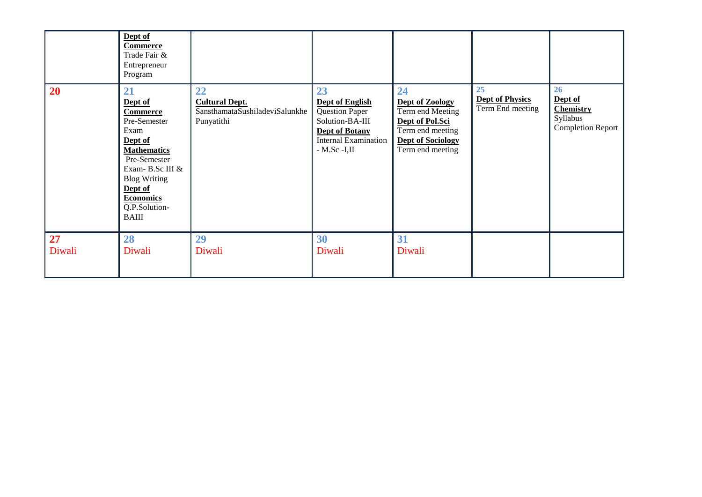|              | Dept of<br><b>Commerce</b><br>Trade Fair &<br>Entrepreneur<br>Program                                                                                                                                               |                                                                             |                                                                                                                                                      |                                                                                                                                  |                                                  |                                                                           |
|--------------|---------------------------------------------------------------------------------------------------------------------------------------------------------------------------------------------------------------------|-----------------------------------------------------------------------------|------------------------------------------------------------------------------------------------------------------------------------------------------|----------------------------------------------------------------------------------------------------------------------------------|--------------------------------------------------|---------------------------------------------------------------------------|
| 20           | 21<br>Dept of<br><b>Commerce</b><br>Pre-Semester<br>Exam<br>Dept of<br><b>Mathematics</b><br>Pre-Semester<br>Exam-B.Sc III &<br><b>Blog Writing</b><br>Dept of<br><b>Economics</b><br>Q.P.Solution-<br><b>BAIII</b> | 22<br><b>Cultural Dept.</b><br>SansthamataSushiladeviSalunkhe<br>Punyatithi | 23<br><b>Dept of English</b><br><b>Question Paper</b><br>Solution-BA-III<br><b>Dept of Botany</b><br><b>Internal Examination</b><br>$-$ M.Sc $-I,II$ | 24<br>Dept of Zoology<br>Term end Meeting<br>Dept of Pol.Sci<br>Term end meeting<br><b>Dept of Sociology</b><br>Term end meeting | 25<br><b>Dept of Physics</b><br>Term End meeting | 26<br>Dept of<br><b>Chemistry</b><br>Syllabus<br><b>Completion Report</b> |
| 27<br>Diwali | 28<br>Diwali                                                                                                                                                                                                        | 29<br>Diwali                                                                | 30<br>Diwali                                                                                                                                         | 31<br>Diwali                                                                                                                     |                                                  |                                                                           |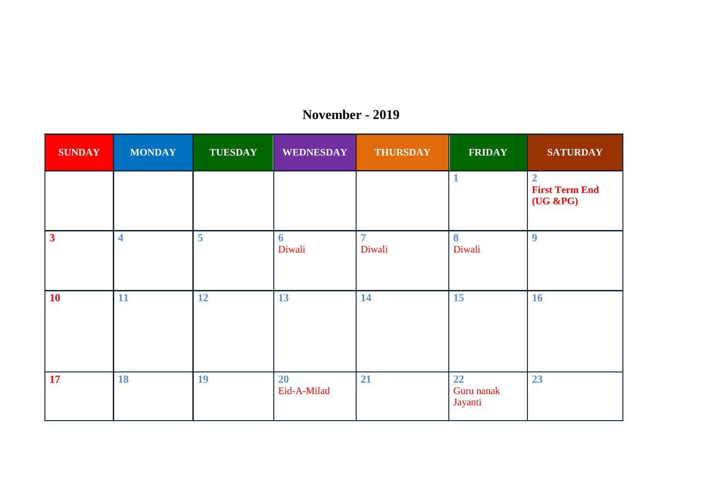| <b>SUNDAY</b>           | <b>MONDAY</b>           | <b>TUESDAY</b> | <b>WEDNESDAY</b>         | <b>THURSDAY</b>          | <b>FRIDAY</b>               | <b>SATURDAY</b>                                      |
|-------------------------|-------------------------|----------------|--------------------------|--------------------------|-----------------------------|------------------------------------------------------|
|                         |                         |                |                          |                          |                             | $\overline{2}$<br><b>First Term End</b><br>(UG & PG) |
| $\overline{\mathbf{3}}$ | $\overline{\mathbf{4}}$ | 5              | 6<br>Diwali              | $\overline{7}$<br>Diwali | 8<br>Diwali                 | $\boldsymbol{9}$                                     |
| <b>10</b>               | 11                      | 12             | 13                       | 14                       | 15                          | 16                                                   |
| <b>17</b>               | <b>18</b>               | 19             | <b>20</b><br>Eid-A-Milad | 21                       | 22<br>Guru nanak<br>Jayanti | 23                                                   |

#### **November - 2019**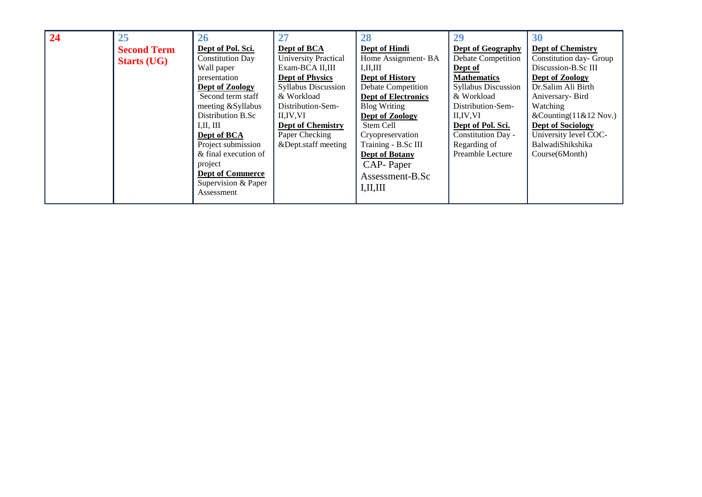| 24 | 25                 | 26                      | 27                          | 28                         | 29                         | 30                        |
|----|--------------------|-------------------------|-----------------------------|----------------------------|----------------------------|---------------------------|
|    | <b>Second Term</b> | Dept of Pol. Sci.       | Dept of BCA                 | Dept of Hindi              | <b>Dept of Geography</b>   | <b>Dept of Chemistry</b>  |
|    | <b>Starts (UG)</b> | <b>Constitution Day</b> | <b>University Practical</b> | Home Assignment-BA         | <b>Debate Competition</b>  | Constitution day- Group   |
|    |                    | Wall paper              | Exam-BCA II,III             | I, II, III                 | Dept of                    | Discussion-B.Sc III       |
|    |                    | presentation            | <b>Dept of Physics</b>      | Dept of History            | <b>Mathematics</b>         | Dept of Zoology           |
|    |                    | Dept of Zoology         | <b>Syllabus Discussion</b>  | <b>Debate Competition</b>  | <b>Syllabus Discussion</b> | Dr.Salim Ali Birth        |
|    |                    | Second term staff       | & Workload                  | <b>Dept of Electronics</b> | & Workload                 | Aniversary-Bird           |
|    |                    | meeting &Syllabus       | Distribution-Sem-           | <b>Blog Writing</b>        | Distribution-Sem-          | Watching                  |
|    |                    | Distribution B.Sc       | II.IV.VI                    | Dept of Zoology            | II, IV, VI                 | &Counting $(11& 12$ Nov.) |
|    |                    | I, II, III              | <b>Dept of Chemistry</b>    | Stem Cell                  | Dept of Pol. Sci.          | <b>Dept of Sociology</b>  |
|    |                    | Dept of BCA             | Paper Checking              | Cryopreservation           | Constitution Day -         | University level COC-     |
|    |                    | Project submission      | &Dept.staff meeting         | Training - B.Sc III        | Regarding of               | BalwadiShikshika          |
|    |                    | & final execution of    |                             | <b>Dept of Botany</b>      | Preamble Lecture           | Course(6Month)            |
|    |                    | project                 |                             | CAP-Paper                  |                            |                           |
|    |                    | <b>Dept of Commerce</b> |                             | Assessment-B.Sc            |                            |                           |
|    |                    | Supervision & Paper     |                             | I, II, III                 |                            |                           |
|    |                    | Assessment              |                             |                            |                            |                           |
|    |                    |                         |                             |                            |                            |                           |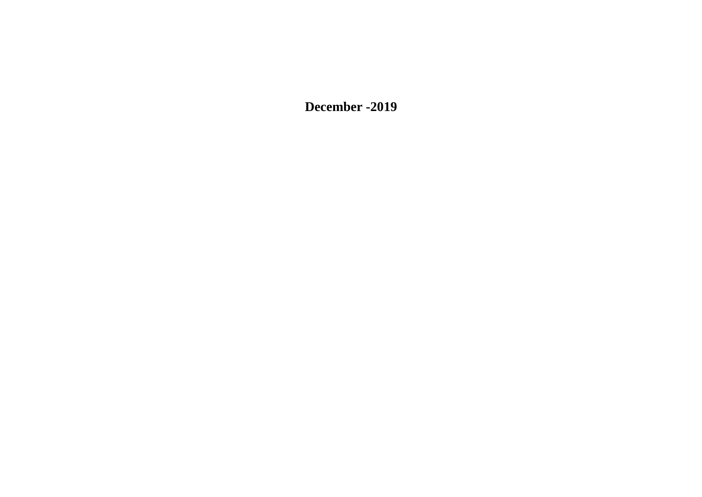**December -2019**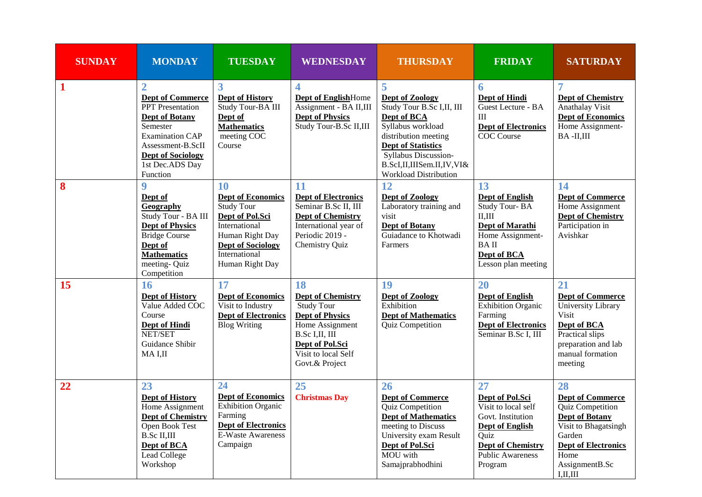| <b>SUNDAY</b> | <b>MONDAY</b>                                                                                                                                                                                                       | <b>TUESDAY</b>                                                                                                                                                             | <b>WEDNESDAY</b>                                                                                                                                                               | <b>THURSDAY</b>                                                                                                                                                                                                                         | <b>FRIDAY</b>                                                                                                                                                         | <b>SATURDAY</b>                                                                                                                                                                    |
|---------------|---------------------------------------------------------------------------------------------------------------------------------------------------------------------------------------------------------------------|----------------------------------------------------------------------------------------------------------------------------------------------------------------------------|--------------------------------------------------------------------------------------------------------------------------------------------------------------------------------|-----------------------------------------------------------------------------------------------------------------------------------------------------------------------------------------------------------------------------------------|-----------------------------------------------------------------------------------------------------------------------------------------------------------------------|------------------------------------------------------------------------------------------------------------------------------------------------------------------------------------|
| $\mathbf{1}$  | $\overline{2}$<br><b>Dept of Commerce</b><br><b>PPT</b> Presentation<br><b>Dept of Botany</b><br>Semester<br><b>Examination CAP</b><br>Assessment-B.ScII<br><b>Dept of Sociology</b><br>1st Dec.ADS Day<br>Function | 3<br><b>Dept of History</b><br>Study Tour-BA III<br>Dept of<br><b>Mathematics</b><br>meeting COC<br>Course                                                                 | 4<br><b>Dept of EnglishHome</b><br>Assignment - BA II,III<br><b>Dept of Physics</b><br>Study Tour-B.Sc II,III                                                                  | 5<br><b>Dept of Zoology</b><br>Study Tour B.Sc I, II, III<br>Dept of BCA<br>Syllabus workload<br>distribution meeting<br><b>Dept of Statistics</b><br>Syllabus Discussion-<br>B.ScI,II,IIISem.II,IV,VI&<br><b>Workload Distribution</b> | 6<br>Dept of Hindi<br>Guest Lecture - BA<br>III<br><b>Dept of Electronics</b><br><b>COC</b> Course                                                                    | 7<br><b>Dept of Chemistry</b><br>Anathalay Visit<br><b>Dept of Economics</b><br>Home Assignment-<br>BA-II,III                                                                      |
| 8             | 9<br>Dept of<br>Geography<br>Study Tour - BA III<br><b>Dept of Physics</b><br><b>Bridge Course</b><br>Dept of<br><b>Mathematics</b><br>meeting- Quiz<br>Competition                                                 | 10<br><b>Dept of Economics</b><br><b>Study Tour</b><br>Dept of Pol.Sci<br>International<br>Human Right Day<br><b>Dept of Sociology</b><br>International<br>Human Right Day | 11<br><b>Dept of Electronics</b><br>Seminar B.Sc II, III<br><b>Dept of Chemistry</b><br>International year of<br>Periodic 2019 -<br>Chemistry Quiz                             | 12<br><b>Dept of Zoology</b><br>Laboratory training and<br>visit<br><b>Dept of Botany</b><br>Guiadance to Khotwadi<br>Farmers                                                                                                           | 13<br><b>Dept of English</b><br>Study Tour-BA<br>II.III<br>Dept of Marathi<br>Home Assignment-<br><b>BAII</b><br>Dept of BCA<br>Lesson plan meeting                   | 14<br><b>Dept of Commerce</b><br>Home Assignment<br><b>Dept of Chemistry</b><br>Participation in<br>Avishkar                                                                       |
| 15            | 16<br><b>Dept of History</b><br>Value Added COC<br>Course<br><b>Dept of Hindi</b><br>NET/SET<br>Guidance Shibir<br>MA I.II                                                                                          | 17<br><b>Dept of Economics</b><br>Visit to Industry<br><b>Dept of Electronics</b><br><b>Blog Writing</b>                                                                   | 18<br><b>Dept of Chemistry</b><br><b>Study Tour</b><br><b>Dept of Physics</b><br>Home Assignment<br>B.Sc I,II, III<br>Dept of Pol.Sci<br>Visit to local Self<br>Govt.& Project | 19<br><b>Dept of Zoology</b><br>Exhibition<br><b>Dept of Mathematics</b><br>Quiz Competition                                                                                                                                            | 20<br><b>Dept of English</b><br><b>Exhibition Organic</b><br>Farming<br><b>Dept of Electronics</b><br>Seminar B.Sc I, III                                             | 21<br><b>Dept of Commerce</b><br>University Library<br>Visit<br>Dept of BCA<br>Practical slips<br>preparation and lab<br>manual formation<br>meeting                               |
| 22            | 23<br><b>Dept of History</b><br>Home Assignment<br><b>Dept of Chemistry</b><br>Open Book Test<br><b>B.Sc II,III</b><br>Dept of BCA<br>Lead College<br>Workshop                                                      | 24<br><b>Dept of Economics</b><br><b>Exhibition Organic</b><br>Farming<br><b>Dept of Electronics</b><br><b>E-Waste Awareness</b><br>Campaign                               | 25<br><b>Christmas Day</b>                                                                                                                                                     | 26<br><b>Dept of Commerce</b><br>Quiz Competition<br><b>Dept of Mathematics</b><br>meeting to Discuss<br>University exam Result<br>Dept of Pol.Sci<br>MOU with<br>Samajprabhodhini                                                      | 27<br>Dept of Pol.Sci<br>Visit to local self<br>Govt. Institution<br><b>Dept of English</b><br>Ouiz<br><b>Dept of Chemistry</b><br><b>Public Awareness</b><br>Program | 28<br><b>Dept of Commerce</b><br>Quiz Competition<br><b>Dept of Botany</b><br>Visit to Bhagatsingh<br>Garden<br><b>Dept of Electronics</b><br>Home<br>AssignmentB.Sc<br>I, II, III |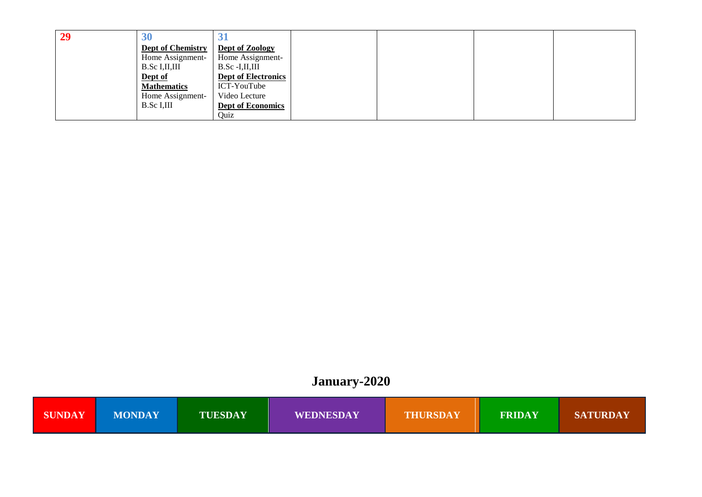| 29 | 30                       | للاست                      |  |  |
|----|--------------------------|----------------------------|--|--|
|    | <b>Dept of Chemistry</b> | Dept of Zoology            |  |  |
|    | Home Assignment-         | Home Assignment-           |  |  |
|    | B.Sc I, II, III          | $B.Sc$ -I,II,III           |  |  |
|    | Dept of                  | <b>Dept of Electronics</b> |  |  |
|    | <b>Mathematics</b>       | ICT-YouTube                |  |  |
|    | Home Assignment-         | Video Lecture              |  |  |
|    | B.Sc I,III               | <b>Dept of Economics</b>   |  |  |
|    |                          | Quiz                       |  |  |

### **January-2020**

| <b>SUNDAY</b> | <b>MONDAY</b> | <b>TUESDAY</b> | <b>WEDNESDAY</b> | <b>THURSDAY</b> | <b>FRIDAY</b> | <b>SATURDAY</b> |
|---------------|---------------|----------------|------------------|-----------------|---------------|-----------------|
|---------------|---------------|----------------|------------------|-----------------|---------------|-----------------|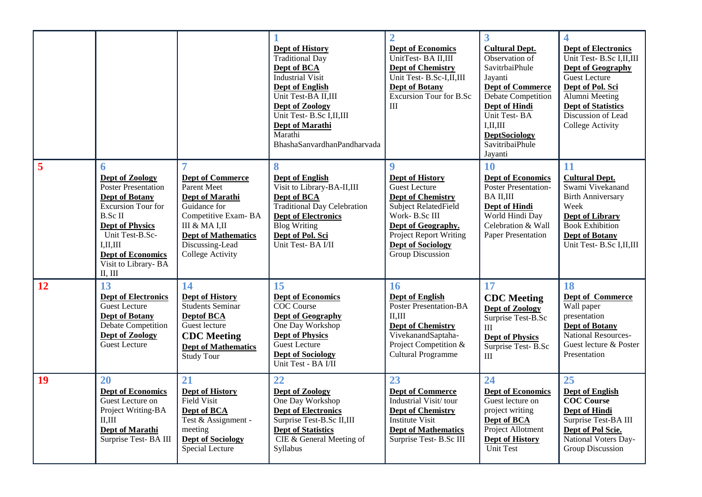|    |                                                                                                                                                                                                                                              |                                                                                                                                                                                                                 | <b>Dept of History</b><br><b>Traditional Day</b><br>Dept of BCA<br><b>Industrial Visit</b><br><b>Dept of English</b><br>Unit Test-BA II,III<br><b>Dept of Zoology</b><br>Unit Test- B.Sc I,II,III<br>Dept of Marathi<br>Marathi<br>BhashaSanvardhanPandharvada | $\overline{2}$<br><b>Dept of Economics</b><br>UnitTest-BA II,III<br><b>Dept of Chemistry</b><br>Unit Test- B.Sc-I,II,III<br><b>Dept of Botany</b><br>Excursion Tour for B.Sc<br>III                                                     | $\overline{\mathbf{3}}$<br><b>Cultural Dept.</b><br>Observation of<br><b>SavitrbaiPhule</b><br>Jayanti<br><b>Dept of Commerce</b><br>Debate Competition<br><b>Dept of Hindi</b><br>Unit Test-BA<br>I, II, III<br><b>DeptSociology</b><br>SavitribaiPhule<br>Jayanti | 4<br><b>Dept of Electronics</b><br>Unit Test-B.Sc I,II,III<br><b>Dept of Geography</b><br><b>Guest Lecture</b><br>Dept of Pol. Sci<br>Alumni Meeting<br><b>Dept of Statistics</b><br>Discussion of Lead<br>College Activity |
|----|----------------------------------------------------------------------------------------------------------------------------------------------------------------------------------------------------------------------------------------------|-----------------------------------------------------------------------------------------------------------------------------------------------------------------------------------------------------------------|----------------------------------------------------------------------------------------------------------------------------------------------------------------------------------------------------------------------------------------------------------------|-----------------------------------------------------------------------------------------------------------------------------------------------------------------------------------------------------------------------------------------|---------------------------------------------------------------------------------------------------------------------------------------------------------------------------------------------------------------------------------------------------------------------|-----------------------------------------------------------------------------------------------------------------------------------------------------------------------------------------------------------------------------|
| 5  | 6<br><b>Dept of Zoology</b><br>Poster Presentation<br><b>Dept of Botany</b><br>Excursion Tour for<br><b>B.Sc II</b><br><b>Dept of Physics</b><br>Unit Test-B.Sc-<br>I, II, III<br><b>Dept of Economics</b><br>Visit to Library-BA<br>II, III | $\overline{7}$<br><b>Dept of Commerce</b><br>Parent Meet<br>Dept of Marathi<br>Guidance for<br>Competitive Exam-BA<br>III & MA I.II<br><b>Dept of Mathematics</b><br>Discussing-Lead<br><b>College Activity</b> | 8<br><b>Dept of English</b><br>Visit to Library-BA-II,III<br>Dept of BCA<br>Traditional Day Celebration<br><b>Dept of Electronics</b><br><b>Blog Writing</b><br>Dept of Pol. Sci<br>Unit Test-BA $\overline{V}$ II                                             | $\boldsymbol{9}$<br><b>Dept of History</b><br>Guest Lecture<br><b>Dept of Chemistry</b><br>Subject RelatedField<br>Work-B.Sc III<br>Dept of Geography.<br><b>Project Report Writing</b><br><b>Dept of Sociology</b><br>Group Discussion | 10<br><b>Dept of Economics</b><br>Poster Presentation-<br>BA II,III<br>Dept of Hindi<br>World Hindi Day<br>Celebration & Wall<br><b>Paper Presentation</b>                                                                                                          | 11<br><b>Cultural Dept.</b><br>Swami Vivekanand<br><b>Birth Anniversary</b><br>Week<br><b>Dept of Library</b><br><b>Book Exhibition</b><br><b>Dept of Botany</b><br>Unit Test- B.Sc I,II,III                                |
| 12 | 13<br><b>Dept of Electronics</b><br>Guest Lecture<br><b>Dept of Botany</b><br>Debate Competition<br>Dept of Zoology<br><b>Guest Lecture</b>                                                                                                  | 14<br>Dept of History<br>Students Seminar<br><b>Deptof BCA</b><br>Guest lecture<br><b>CDC</b> Meeting<br><b>Dept of Mathematics</b><br>Study Tour                                                               | 15<br><b>Dept of Economics</b><br>COC Course<br><b>Dept of Geography</b><br>One Day Workshop<br><b>Dept of Physics</b><br>Guest Lecture<br><b>Dept of Sociology</b><br>Unit Test - BA I/II                                                                     | 16<br><b>Dept of English</b><br>Poster Presentation-BA<br>II.III<br><b>Dept of Chemistry</b><br>VivekanandSaptaha-<br>Project Competition &<br>Cultural Programme                                                                       | 17<br><b>CDC</b> Meeting<br>Dept of Zoology<br>Surprise Test-B.Sc<br>III<br><b>Dept of Physics</b><br>Surprise Test-B.Sc<br>III                                                                                                                                     | 18<br>Dept of Commerce<br>Wall paper<br>presentation<br><b>Dept of Botany</b><br>National Resources-<br>Guest lecture & Poster<br>Presentation                                                                              |
| 19 | 20<br><b>Dept of Economics</b><br>Guest Lecture on<br>Project Writing-BA<br>II.III<br>Dept of Marathi<br>Surprise Test-BA III                                                                                                                | 21<br><b>Dept of History</b><br><b>Field Visit</b><br>Dept of BCA<br>Test & Assignment -<br>meeting<br><b>Dept of Sociology</b><br>Special Lecture                                                              | 22<br><b>Dept of Zoology</b><br>One Day Workshop<br><b>Dept of Electronics</b><br>Surprise Test-B.Sc II,III<br><b>Dept of Statistics</b><br>CIE & General Meeting of<br>Syllabus                                                                               | 23<br><b>Dept of Commerce</b><br>Industrial Visit/tour<br><b>Dept of Chemistry</b><br><b>Institute Visit</b><br><b>Dept of Mathematics</b><br>Surprise Test- B.Sc III                                                                   | 24<br><b>Dept of Economics</b><br>Guest lecture on<br>project writing<br>Dept of BCA<br>Project Allotment<br><b>Dept of History</b><br><b>Unit Test</b>                                                                                                             | 25<br>Dept of English<br><b>COC</b> Course<br>Dept of Hindi<br>Surprise Test-BA III<br>Dept of Pol Scie.<br>National Voters Day-<br>Group Discussion                                                                        |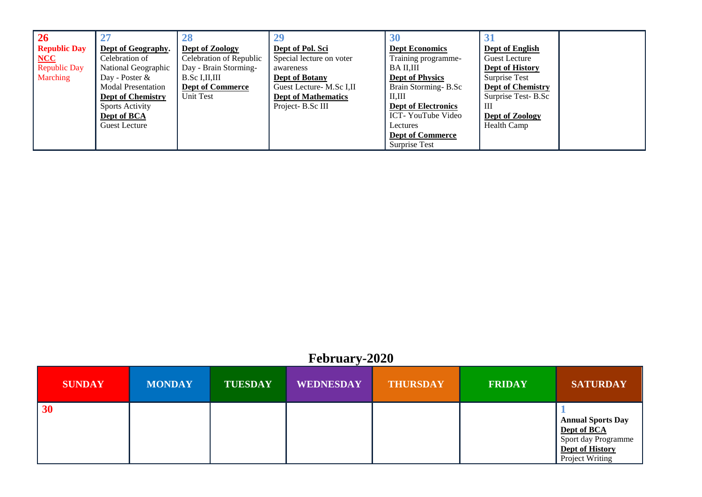| $\overline{26}$     |                           |                         |                            | 30                         |                          |
|---------------------|---------------------------|-------------------------|----------------------------|----------------------------|--------------------------|
| <b>Republic Day</b> | Dept of Geography.        | Dept of Zoology         | Dept of Pol. Sci           | <b>Dept Economics</b>      | Dept of English          |
| NCC                 | Celebration of            | Celebration of Republic | Special lecture on voter   | Training programme-        | Guest Lecture            |
| <b>Republic Day</b> | National Geographic       | Day - Brain Storming-   | awareness                  | BA II.III                  | Dept of History          |
| Marching            | Day - Poster $\&$         | B.Sc I, II, III         | <b>Dept of Botany</b>      | <b>Dept of Physics</b>     | Surprise Test            |
|                     | <b>Modal Presentation</b> | <b>Dept of Commerce</b> | Guest Lecture- M.Sc I,II   | Brain Storming-B.Sc        | <b>Dept of Chemistry</b> |
|                     | <b>Dept of Chemistry</b>  | Unit Test               | <b>Dept of Mathematics</b> | II.III                     | Surprise Test-B.Sc       |
|                     | <b>Sports Activity</b>    |                         | Project-B.Sc III           | <b>Dept of Electronics</b> | Ш                        |
|                     | Dept of BCA               |                         |                            | ICT-YouTube Video          | Dept of Zoology          |
|                     | <b>Guest Lecture</b>      |                         |                            | Lectures                   | Health Camp              |
|                     |                           |                         |                            | <b>Dept of Commerce</b>    |                          |
|                     |                           |                         |                            | Surprise Test              |                          |

#### **February-2020**

| <b>SUNDAY</b> | <b>MONDAY</b> | <b>TUESDAY</b> | <b>WEDNESDAY</b> | <b>THURSDAY</b> | <b>FRIDAY</b> | <b>SATURDAY</b>                                                                                      |
|---------------|---------------|----------------|------------------|-----------------|---------------|------------------------------------------------------------------------------------------------------|
| $\vert 30$    |               |                |                  |                 |               | <b>Annual Sports Day</b><br>Dept of BCA<br>Sport day Programme<br>Dept of History<br>Project Writing |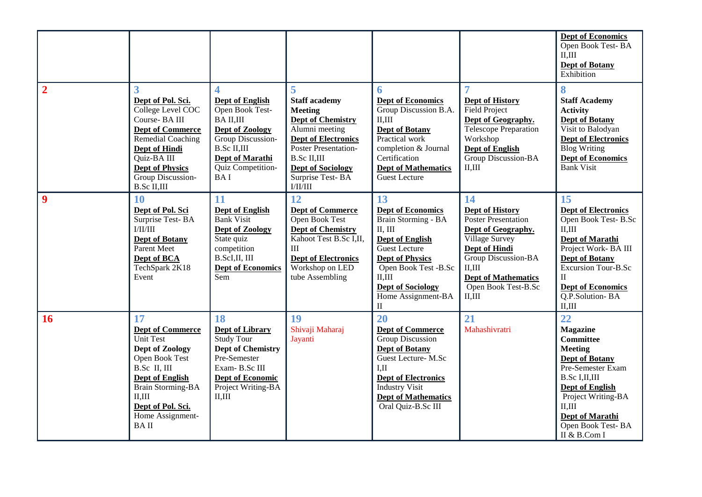|                |                                                                                                                                                                                                                                 |                                                                                                                                                                                              |                                                                                                                                                                                                                                   |                                                                                                                                                                                                                                              |                                                                                                                                                                                                                | Dept of Economics<br>Open Book Test-BA<br>II, III<br><b>Dept of Botany</b><br>Exhibition                                                                                                                                                      |
|----------------|---------------------------------------------------------------------------------------------------------------------------------------------------------------------------------------------------------------------------------|----------------------------------------------------------------------------------------------------------------------------------------------------------------------------------------------|-----------------------------------------------------------------------------------------------------------------------------------------------------------------------------------------------------------------------------------|----------------------------------------------------------------------------------------------------------------------------------------------------------------------------------------------------------------------------------------------|----------------------------------------------------------------------------------------------------------------------------------------------------------------------------------------------------------------|-----------------------------------------------------------------------------------------------------------------------------------------------------------------------------------------------------------------------------------------------|
| $\overline{2}$ | 3<br>Dept of Pol. Sci.<br>College Level COC<br>Course-BAIII<br><b>Dept of Commerce</b><br>Remedial Coaching<br><b>Dept of Hindi</b><br>Quiz-BA III<br><b>Dept of Physics</b><br>Group Discussion-<br><b>B.Sc II,III</b>         | 4<br><b>Dept of English</b><br>Open Book Test-<br><b>BAII,III</b><br>Dept of Zoology<br>Group Discussion-<br><b>B.Sc II,III</b><br><b>Dept of Marathi</b><br>Quiz Competition-<br><b>BAI</b> | 5<br><b>Staff academy</b><br><b>Meeting</b><br><b>Dept of Chemistry</b><br>Alumni meeting<br><b>Dept of Electronics</b><br>Poster Presentation-<br><b>B.Sc II,III</b><br><b>Dept of Sociology</b><br>Surprise Test-BA<br>I/II/III | 6<br><b>Dept of Economics</b><br>Group Discussion B.A.<br>II, III<br><b>Dept of Botany</b><br>Practical work<br>completion & Journal<br>Certification<br><b>Dept of Mathematics</b><br>Guest Lecture                                         | 7<br><b>Dept of History</b><br><b>Field Project</b><br>Dept of Geography.<br>Telescope Preparation<br>Workshop<br><b>Dept of English</b><br>Group Discussion-BA<br>II, III                                     | 8<br><b>Staff Academy</b><br><b>Activity</b><br><b>Dept of Botany</b><br>Visit to Balodyan<br><b>Dept of Electronics</b><br><b>Blog Writing</b><br><b>Dept of Economics</b><br><b>Bank Visit</b>                                              |
| 9              | 10<br>Dept of Pol. Sci<br>Surprise Test-BA<br>$\rm I/II/III$<br><b>Dept of Botany</b><br>Parent Meet<br>Dept of BCA<br>TechSpark 2K18<br>Event                                                                                  | 11<br><b>Dept of English</b><br><b>Bank Visit</b><br><b>Dept of Zoology</b><br>State quiz<br>competition<br>B.ScI,II, III<br><b>Dept of Economics</b><br>Sem                                 | 12<br><b>Dept of Commerce</b><br><b>Open Book Test</b><br><b>Dept of Chemistry</b><br>Kahoot Test B.Sc I,II,<br>III<br><b>Dept of Electronics</b><br>Workshop on LED<br>tube Assembling                                           | 13<br><b>Dept of Economics</b><br>Brain Storming - BA<br>II, III<br><b>Dept of English</b><br><b>Guest Lecture</b><br><b>Dept of Physics</b><br>Open Book Test -B.Sc<br>II.III<br><b>Dept of Sociology</b><br>Home Assignment-BA<br>$\rm II$ | 14<br><b>Dept of History</b><br>Poster Presentation<br>Dept of Geography.<br>Village Survey<br>Dept of Hindi<br>Group Discussion-BA<br>II, III<br><b>Dept of Mathematics</b><br>Open Book Test-B.Sc<br>II, III | 15<br><b>Dept of Electronics</b><br>Open Book Test-B.Sc<br>II, III<br><b>Dept of Marathi</b><br>Project Work-BA III<br><b>Dept of Botany</b><br>Excursion Tour-B.Sc<br>$\mathbf{I}$<br><b>Dept of Economics</b><br>Q.P.Solution-BA<br>II, III |
| <b>16</b>      | 17<br><b>Dept of Commerce</b><br><b>Unit Test</b><br>Dept of Zoology<br>Open Book Test<br>B.Sc II, III<br><b>Dept of English</b><br><b>Brain Storming-BA</b><br>II, III<br>Dept of Pol. Sci.<br>Home Assignment-<br><b>BAII</b> | 18<br>Dept of Library<br>Study Tour<br><b>Dept of Chemistry</b><br>Pre-Semester<br>Exam-B.Sc III<br>Dept of Economic<br>Project Writing-BA<br>II, III                                        | 19<br>Shivaji Maharaj<br>Jayanti                                                                                                                                                                                                  | 20<br><b>Dept of Commerce</b><br>Group Discussion<br><b>Dept of Botany</b><br>Guest Lecture-M.Sc<br>I <sub>H</sub><br><b>Dept of Electronics</b><br><b>Industry Visit</b><br><b>Dept of Mathematics</b><br>Oral Quiz-B.Sc III                | 21<br>Mahashivratri                                                                                                                                                                                            | 22<br>Magazine<br><b>Committee</b><br><b>Meeting</b><br><b>Dept of Botany</b><br>Pre-Semester Exam<br>B.Sc I, II, III<br><b>Dept of English</b><br>Project Writing-BA<br>II.III<br>Dept of Marathi<br>Open Book Test-BA<br>II & B.Com I       |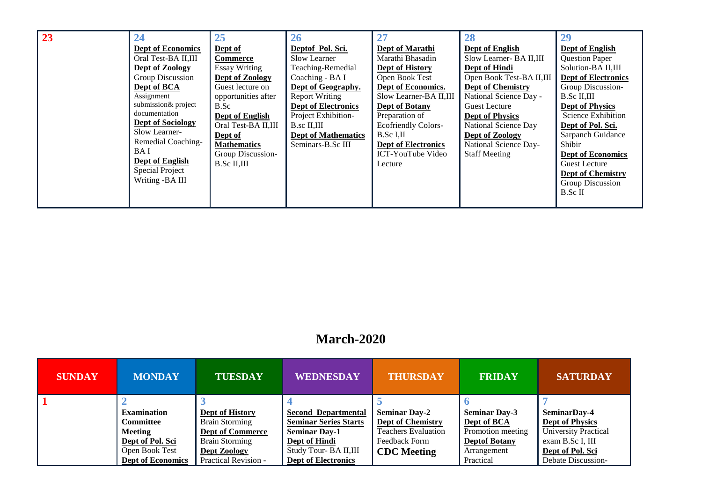| 23 | 24<br><b>Dept of Economics</b><br>Oral Test-BA II,III<br>Dept of Zoology<br>Group Discussion<br>Dept of BCA<br>Assignment<br>submission& project<br>documentation<br><b>Dept of Sociology</b><br>Slow Learner-<br>Remedial Coaching-<br><b>BAI</b><br>Dept of English<br>Special Project<br>Writing -BA III | 25<br>Dept of<br><b>Commerce</b><br><b>Essay Writing</b><br>Dept of Zoology<br>Guest lecture on<br>opportunities after<br>B.Sc<br>Dept of English<br>Oral Test-BA II,III<br>Dept of<br><b>Mathematics</b><br>Group Discussion-<br><b>B.Sc II,III</b> | 26<br>Deptof Pol. Sci.<br>Slow Learner<br>Teaching-Remedial<br>Coaching - BAI<br>Dept of Geography.<br><b>Report Writing</b><br><b>Dept of Electronics</b><br>Project Exhibition-<br>$B$ .sc II,III<br><b>Dept of Mathematics</b><br>Seminars-B.Sc III | 27<br>Dept of Marathi<br>Marathi Bhasadin<br>Dept of History<br>Open Book Test<br>Dept of Economics.<br>Slow Learner-BA II, III<br><b>Dept of Botany</b><br>Preparation of<br><b>Ecofriendly Colors-</b><br>B.Sc I,II<br><b>Dept of Electronics</b><br>ICT-YouTube Video<br>Lecture | 28<br>Dept of English<br>Slow Learner- BA II, III<br>Dept of Hindi<br>Open Book Test-BA II,III<br><b>Dept of Chemistry</b><br>National Science Day -<br>Guest Lecture<br><b>Dept of Physics</b><br>National Science Day<br>Dept of Zoology<br>National Science Day-<br><b>Staff Meeting</b> | 29<br><b>Dept of English</b><br><b>Question Paper</b><br>Solution-BA II,III<br><b>Dept of Electronics</b><br>Group Discussion-<br>B.Sc II,III<br><b>Dept of Physics</b><br>Science Exhibition<br>Dept of Pol. Sci.<br>Sarpanch Guidance<br>Shibir<br><b>Dept of Economics</b><br>Guest Lecture<br><b>Dept of Chemistry</b><br>Group Discussion<br>B.Sc II |
|----|-------------------------------------------------------------------------------------------------------------------------------------------------------------------------------------------------------------------------------------------------------------------------------------------------------------|------------------------------------------------------------------------------------------------------------------------------------------------------------------------------------------------------------------------------------------------------|--------------------------------------------------------------------------------------------------------------------------------------------------------------------------------------------------------------------------------------------------------|-------------------------------------------------------------------------------------------------------------------------------------------------------------------------------------------------------------------------------------------------------------------------------------|---------------------------------------------------------------------------------------------------------------------------------------------------------------------------------------------------------------------------------------------------------------------------------------------|-----------------------------------------------------------------------------------------------------------------------------------------------------------------------------------------------------------------------------------------------------------------------------------------------------------------------------------------------------------|
|----|-------------------------------------------------------------------------------------------------------------------------------------------------------------------------------------------------------------------------------------------------------------------------------------------------------------|------------------------------------------------------------------------------------------------------------------------------------------------------------------------------------------------------------------------------------------------------|--------------------------------------------------------------------------------------------------------------------------------------------------------------------------------------------------------------------------------------------------------|-------------------------------------------------------------------------------------------------------------------------------------------------------------------------------------------------------------------------------------------------------------------------------------|---------------------------------------------------------------------------------------------------------------------------------------------------------------------------------------------------------------------------------------------------------------------------------------------|-----------------------------------------------------------------------------------------------------------------------------------------------------------------------------------------------------------------------------------------------------------------------------------------------------------------------------------------------------------|

#### **March-2020**

| <b>SUNDAY</b> | <b>MONDAY</b>            | <b>TUESDAY</b>          | <b>WEDNESDAY</b>             | <b>THURSDAY</b>            | <b>FRIDAY</b>        | <b>SATURDAY</b>             |
|---------------|--------------------------|-------------------------|------------------------------|----------------------------|----------------------|-----------------------------|
|               |                          |                         |                              |                            |                      |                             |
|               | <b>Examination</b>       | Dept of History         | <b>Second Departmental</b>   | <b>Seminar Day-2</b>       | <b>Seminar Day-3</b> | SeminarDay-4                |
|               | <b>Committee</b>         | <b>Brain Storming</b>   | <b>Seminar Series Starts</b> | <b>Dept of Chemistry</b>   | Dept of BCA          | <b>Dept of Physics</b>      |
|               | Meeting                  | <b>Dept of Commerce</b> | <b>Seminar Day-1</b>         | <b>Teachers Evaluation</b> | Promotion meeting    | <b>University Practical</b> |
|               | Dept of Pol. Sci         | <b>Brain Storming</b>   | Dept of Hindi                | Feedback Form              | <b>Deptof Botany</b> | exam B.Sc I, III            |
|               | Open Book Test           | Dept Zoology            | Study Tour- BA II, III       | <b>CDC</b> Meeting         | Arrangement          | Dept of Pol. Sci            |
|               | <b>Dept of Economics</b> | Practical Revision -    | <b>Dept of Electronics</b>   |                            | Practical            | Debate Discussion-          |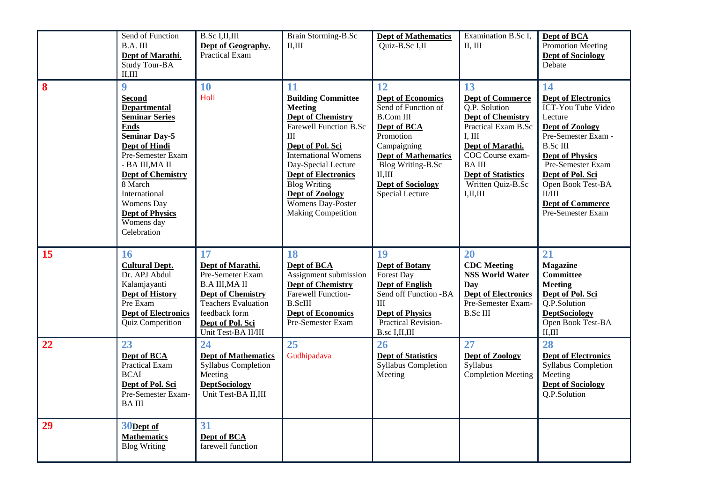|    | Send of Function<br>B.A. III<br>Dept of Marathi.<br>Study Tour-BA<br>II, III                                                                                                                                                                                                                                          | <b>B.Sc I,II,III</b><br>Dept of Geography.<br>Practical Exam                                                                                                                              | Brain Storming-B.Sc<br>II, III                                                                                                                                                                                                                                                                                           | <b>Dept of Mathematics</b><br>Quiz-B.Sc I,II                                                                                                                                                                                             | Examination B.Sc I,<br>II, III                                                                                                                                                                                                      | Dept of BCA<br><b>Promotion Meeting</b><br><b>Dept of Sociology</b><br>Debate                                                                                                                                                                                                                 |
|----|-----------------------------------------------------------------------------------------------------------------------------------------------------------------------------------------------------------------------------------------------------------------------------------------------------------------------|-------------------------------------------------------------------------------------------------------------------------------------------------------------------------------------------|--------------------------------------------------------------------------------------------------------------------------------------------------------------------------------------------------------------------------------------------------------------------------------------------------------------------------|------------------------------------------------------------------------------------------------------------------------------------------------------------------------------------------------------------------------------------------|-------------------------------------------------------------------------------------------------------------------------------------------------------------------------------------------------------------------------------------|-----------------------------------------------------------------------------------------------------------------------------------------------------------------------------------------------------------------------------------------------------------------------------------------------|
| 8  | $\boldsymbol{9}$<br><b>Second</b><br><b>Departmental</b><br><b>Seminar Series</b><br><b>Ends</b><br><b>Seminar Day-5</b><br>Dept of Hindi<br>Pre-Semester Exam<br>- BA III, MA II<br><b>Dept of Chemistry</b><br>8 March<br>International<br><b>Womens</b> Day<br><b>Dept of Physics</b><br>Womens day<br>Celebration | 10<br>Holi                                                                                                                                                                                | 11<br><b>Building Committee</b><br><b>Meeting</b><br><b>Dept of Chemistry</b><br>Farewell Function B.Sc<br>$\rm III$<br>Dept of Pol. Sci<br><b>International Womens</b><br>Day-Special Lecture<br><b>Dept of Electronics</b><br><b>Blog Writing</b><br>Dept of Zoology<br>Womens Day-Poster<br><b>Making Competition</b> | 12<br><b>Dept of Economics</b><br>Send of Function of<br><b>B.Com III</b><br>Dept of BCA<br>Promotion<br>Campaigning<br><b>Dept of Mathematics</b><br><b>Blog Writing-B.Sc</b><br>II, III<br><b>Dept of Sociology</b><br>Special Lecture | 13<br><b>Dept of Commerce</b><br>O.P. Solution<br><b>Dept of Chemistry</b><br>Practical Exam B.Sc<br>I, III<br>Dept of Marathi.<br>COC Course exam-<br><b>BAIII</b><br><b>Dept of Statistics</b><br>Written Quiz-B.Sc<br>I, II, III | 14<br><b>Dept of Electronics</b><br><b>ICT-You Tube Video</b><br>Lecture<br>Dept of Zoology<br>Pre-Semester Exam -<br><b>B.Sc III</b><br><b>Dept of Physics</b><br>Pre-Semester Exam<br>Dept of Pol. Sci<br>Open Book Test-BA<br>$\rm II/III$<br><b>Dept of Commerce</b><br>Pre-Semester Exam |
| 15 | 16<br><b>Cultural Dept.</b><br>Dr. APJ Abdul<br>Kalamjayanti<br><b>Dept of History</b><br>Pre Exam<br><b>Dept of Electronics</b><br>Quiz Competition                                                                                                                                                                  | 17<br>Dept of Marathi.<br>Pre-Semeter Exam<br><b>B.A III, MA II</b><br><b>Dept of Chemistry</b><br><b>Teachers Evaluation</b><br>feedback form<br>Dept of Pol. Sci<br>Unit Test-BA II/III | <b>18</b><br>Dept of BCA<br>Assignment submission<br><b>Dept of Chemistry</b><br>Farewell Function-<br><b>B.ScIII</b><br><b>Dept of Economics</b><br>Pre-Semester Exam                                                                                                                                                   | 19<br><b>Dept of Botany</b><br>Forest Day<br><b>Dept of English</b><br>Send off Function -BA<br>III<br><b>Dept of Physics</b><br>Practical Revision-<br>B.sc I,II,III                                                                    | 20<br><b>CDC</b> Meeting<br><b>NSS World Water</b><br>Day<br><b>Dept of Electronics</b><br>Pre-Semester Exam-<br><b>B.Sc III</b>                                                                                                    | 21<br><b>Magazine</b><br><b>Committee</b><br><b>Meeting</b><br>Dept of Pol. Sci<br>Q.P.Solution<br><b>DeptSociology</b><br>Open Book Test-BA<br>II, III                                                                                                                                       |
| 22 | 23<br>Dept of BCA<br>Practical Exam<br><b>BCAI</b><br>Dept of Pol. Sci<br>Pre-Semester Exam-<br><b>BAIII</b>                                                                                                                                                                                                          | 24<br><b>Dept of Mathematics</b><br>Syllabus Completion<br>Meeting<br><b>DeptSociology</b><br>Unit Test-BA II,III                                                                         | 25<br>Gudhipadava                                                                                                                                                                                                                                                                                                        | 26<br><b>Dept of Statistics</b><br>Syllabus Completion<br>Meeting                                                                                                                                                                        | 27<br>Dept of Zoology<br>Syllabus<br><b>Completion Meeting</b>                                                                                                                                                                      | 28<br><b>Dept of Electronics</b><br>Syllabus Completion<br>Meeting<br><b>Dept of Sociology</b><br>Q.P.Solution                                                                                                                                                                                |
| 29 | 30Dept of<br><b>Mathematics</b><br><b>Blog Writing</b>                                                                                                                                                                                                                                                                | 31<br>Dept of BCA<br>farewell function                                                                                                                                                    |                                                                                                                                                                                                                                                                                                                          |                                                                                                                                                                                                                                          |                                                                                                                                                                                                                                     |                                                                                                                                                                                                                                                                                               |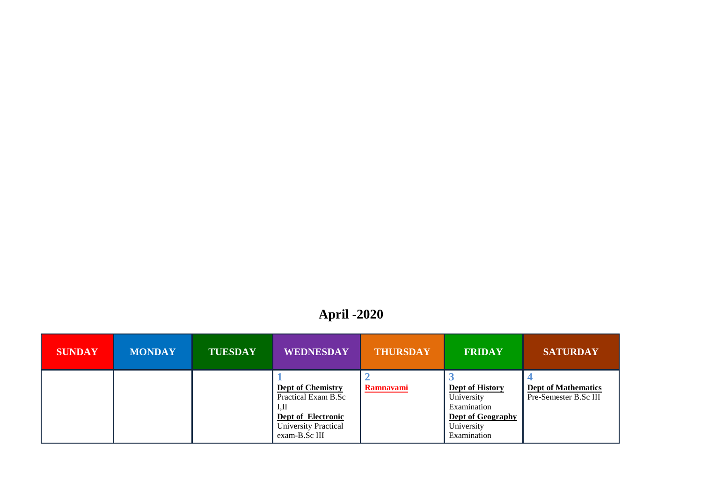# **April -2020**

| <b>SUNDAY</b> | <b>MONDAY</b> | <b>TUESDAY</b> | <b>WEDNESDAY</b>                                                                                                             | <b>THURSDAY</b>  | <b>FRIDAY</b>                                                                                                | <b>SATURDAY</b>                                     |
|---------------|---------------|----------------|------------------------------------------------------------------------------------------------------------------------------|------------------|--------------------------------------------------------------------------------------------------------------|-----------------------------------------------------|
|               |               |                | <b>Dept of Chemistry</b><br>Practical Exam B.Sc<br>I.H<br>Dept of Electronic<br><b>University Practical</b><br>exam-B.Sc III | <b>Ramnavami</b> | <b>Dept of History</b><br>University<br>Examination<br><b>Dept of Geography</b><br>University<br>Examination | <b>Dept of Mathematics</b><br>Pre-Semester B.Sc III |